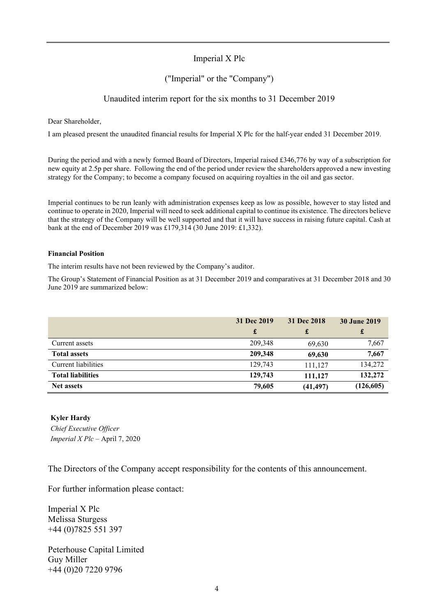### Imperial X Plc

#### ("Imperial" or the "Company")

#### Unaudited interim report for the six months to 31 December 2019

Dear Shareholder,

I am pleased present the unaudited financial results for Imperial X Plc for the half-year ended 31 December 2019.

During the period and with a newly formed Board of Directors, Imperial raised £346,776 by way of a subscription for new equity at 2.5p per share. Following the end of the period under review the shareholders approved a new investing strategy for the Company; to become a company focused on acquiring royalties in the oil and gas sector.

Imperial continues to be run leanly with administration expenses keep as low as possible, however to stay listed and continue to operate in 2020, Imperial will need to seek additional capital to continue its existence. The directors believe that the strategy of the Company will be well supported and that it will have success in raising future capital. Cash at bank at the end of December 2019 was £179,314 (30 June 2019: £1,332).

#### **Financial Position**

The interim results have not been reviewed by the Company's auditor.

The Group's Statement of Financial Position as at 31 December 2019 and comparatives at 31 December 2018 and 30 June 2019 are summarized below:

|                          | 31 Dec 2019<br>£ | 31 Dec 2018<br>£ | <b>30 June 2019</b><br>£ |
|--------------------------|------------------|------------------|--------------------------|
| Current assets           | 209,348          | 69,630           | 7,667                    |
| <b>Total assets</b>      | 209,348          | 69,630           | 7,667                    |
| Current liabilities      | 129,743          | 111,127          | 134,272                  |
| <b>Total liabilities</b> | 129,743          | 111.127          | 132,272                  |
| <b>Net assets</b>        | 79,605           | (41, 497)        | (126, 605)               |

#### **Kyler Hardy**

*Chief Executive Officer Imperial X Plc –* April 7, 2020

The Directors of the Company accept responsibility for the contents of this announcement.

For further information please contact:

Imperial X Plc Melissa Sturgess +44 (0)7825 551 397

Peterhouse Capital Limited Guy Miller +44 (0)20 7220 9796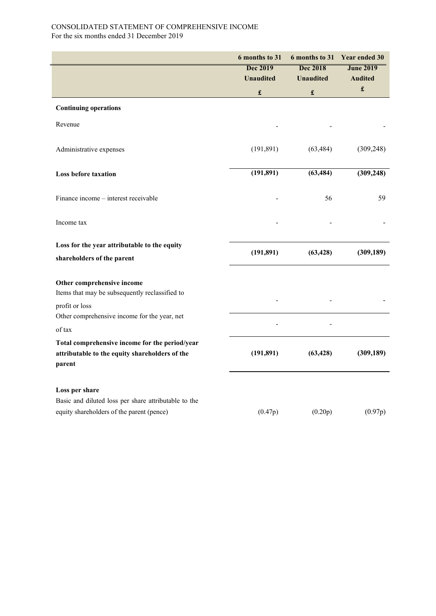#### CONSOLIDATED STATEMENT OF COMPREHENSIVE INCOME For the six months ended 31 December 2019

|                                                                                                                     | 6 months to 31       | 6 months to 31       | <b>Year ended 30</b>                   |  |
|---------------------------------------------------------------------------------------------------------------------|----------------------|----------------------|----------------------------------------|--|
|                                                                                                                     | <b>Dec 2019</b>      | <b>Dec 2018</b>      | <b>June 2019</b>                       |  |
|                                                                                                                     | <b>Unaudited</b>     | <b>Unaudited</b>     | <b>Audited</b><br>$\pmb{\mathfrak{L}}$ |  |
|                                                                                                                     | $\pmb{\mathfrak{L}}$ | $\pmb{\mathfrak{L}}$ |                                        |  |
| <b>Continuing operations</b>                                                                                        |                      |                      |                                        |  |
| Revenue                                                                                                             |                      |                      |                                        |  |
| Administrative expenses                                                                                             | (191, 891)           | (63, 484)            | (309, 248)                             |  |
| <b>Loss before taxation</b>                                                                                         | (191, 891)           | (63, 484)            | (309, 248)                             |  |
| Finance income - interest receivable                                                                                |                      | 56                   | 59                                     |  |
| Income tax                                                                                                          |                      |                      |                                        |  |
| Loss for the year attributable to the equity<br>shareholders of the parent                                          | (191, 891)           | (63, 428)            | (309, 189)                             |  |
| Other comprehensive income<br>Items that may be subsequently reclassified to<br>profit or loss                      |                      |                      |                                        |  |
| Other comprehensive income for the year, net<br>of tax                                                              |                      |                      |                                        |  |
| Total comprehensive income for the period/year<br>attributable to the equity shareholders of the<br>parent          | (191, 891)           | (63, 428)            | (309, 189)                             |  |
| Loss per share<br>Basic and diluted loss per share attributable to the<br>equity shareholders of the parent (pence) | (0.47p)              | (0.20p)              | (0.97p)                                |  |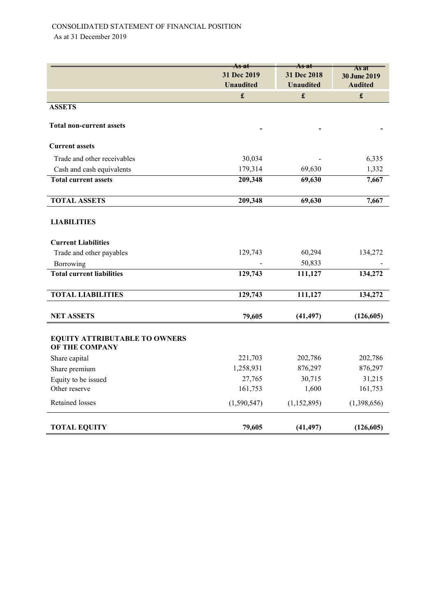|                                                        | <del>As at</del> | <del>As at</del> | As at          |  |
|--------------------------------------------------------|------------------|------------------|----------------|--|
|                                                        | 31 Dec 2019      | 31 Dec 2018      | 30 June 2019   |  |
|                                                        | <b>Unaudited</b> | <b>Unaudited</b> | <b>Audited</b> |  |
|                                                        | $\mathbf f$      | $\mathbf f$      | $\mathbf f$    |  |
| <b>ASSETS</b>                                          |                  |                  |                |  |
| <b>Total non-current assets</b>                        |                  |                  |                |  |
| <b>Current assets</b>                                  |                  |                  |                |  |
| Trade and other receivables                            | 30,034           |                  | 6,335          |  |
| Cash and cash equivalents                              | 179,314          | 69,630           | 1,332          |  |
| <b>Total current assets</b>                            | 209,348          | 69,630           | 7,667          |  |
| <b>TOTAL ASSETS</b>                                    | 209,348          | 69,630           | 7,667          |  |
| <b>LIABILITIES</b>                                     |                  |                  |                |  |
| <b>Current Liabilities</b>                             |                  |                  |                |  |
| Trade and other payables                               | 129,743          | 60,294           | 134,272        |  |
| Borrowing                                              |                  | 50,833           |                |  |
| <b>Total current liabilities</b>                       | 129,743          | 111,127          | 134,272        |  |
| <b>TOTAL LIABILITIES</b>                               | 129,743          | 111,127          | 134,272        |  |
| <b>NET ASSETS</b>                                      | 79,605           | (41, 497)        | (126, 605)     |  |
| <b>EQUITY ATTRIBUTABLE TO OWNERS</b><br>OF THE COMPANY |                  |                  |                |  |
| Share capital                                          | 221,703          | 202,786          | 202,786        |  |
| Share premium                                          | 1,258,931        | 876,297          | 876,297        |  |
| Equity to be issued                                    | 27,765           | 30,715           | 31,215         |  |
| Other reserve                                          | 161,753          | 1,600            | 161,753        |  |
| Retained losses                                        | (1,590,547)      | (1, 152, 895)    | (1,398,656)    |  |
| <b>TOTAL EQUITY</b>                                    | 79,605           | (41, 497)        | (126, 605)     |  |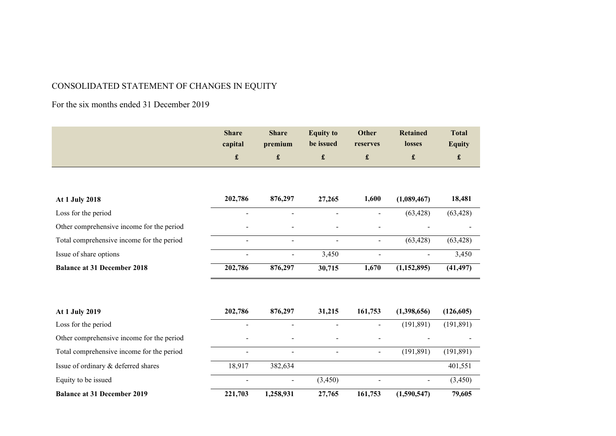# CONSOLIDATED STATEMENT OF CHANGES IN EQUITY

## For the six months ended 31 December 2019

| <b>Share</b> | <b>Share</b> | <b>Equity to</b> | Other    | Retained      | <b>Total</b>  |
|--------------|--------------|------------------|----------|---------------|---------------|
| capital      | premium      | be issued        | reserves | <b>losses</b> | <b>Equity</b> |
|              |              |                  |          |               |               |

| At 1 July 2018                            | 202,786 | 876,297 | 27,265                   | 1.600 | (1,089,467)              | 18,481    |
|-------------------------------------------|---------|---------|--------------------------|-------|--------------------------|-----------|
| Loss for the period                       |         |         |                          |       | (63, 428)                | (63, 428) |
| Other comprehensive income for the period |         |         | $\overline{\phantom{0}}$ |       |                          |           |
| Total comprehensive income for the period |         |         |                          |       | (63, 428)                | (63, 428) |
| Issue of share options                    | -       |         | 3.450                    |       | $\overline{\phantom{0}}$ | 3,450     |
| <b>Balance at 31 December 2018</b>        | 202,786 | 876,297 | 30,715                   | 1.670 | (1,152,895)              | (41, 497) |

| At 1 July 2019                            | 202,786                  | 876,297                      | 31,215         | 161,753 | (1,398,656)              | (126,605)  |
|-------------------------------------------|--------------------------|------------------------------|----------------|---------|--------------------------|------------|
| Loss for the period                       | -                        | $\overline{\phantom{a}}$     |                |         | (191.891)                | (191, 891) |
| Other comprehensive income for the period | $\overline{\phantom{a}}$ | $\overline{\phantom{a}}$     | $\blacksquare$ |         |                          |            |
| Total comprehensive income for the period | $\overline{\phantom{a}}$ | $\overline{\phantom{a}}$     | $\blacksquare$ |         | (191, 891)               | (191, 891) |
| Issue of ordinary & deferred shares       | 18.917                   | 382.634                      |                |         |                          | 401,551    |
| Equity to be issued                       | $\overline{\phantom{0}}$ | $\qquad \qquad \blacksquare$ | (3,450)        |         | $\overline{\phantom{0}}$ | (3, 450)   |
| <b>Balance at 31 December 2019</b>        | 221,703                  | 1,258,931                    | 27,765         | 161,753 | (1,590,547)              | 79,605     |